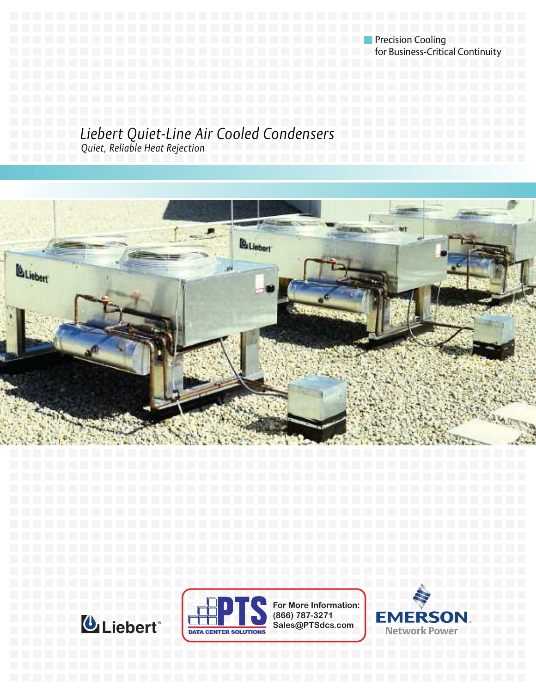**Precision Cooling Precision Cooling** for Business-Critical Continuity

# *Liebert Quiet-Line Air Cooled Condensers*

*Quiet, Reliable Heat Rejection*







**For More Information: (866) 787-3271 Sales@PTSdcs.com**

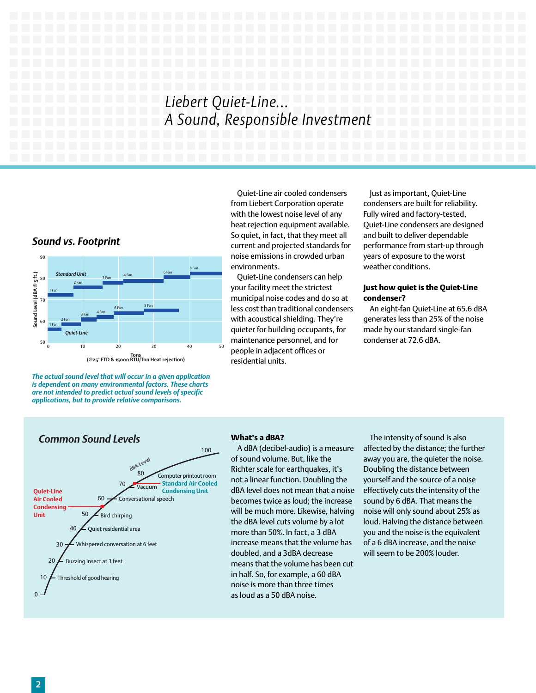# *Liebert Quiet-Line... A Sound, Responsible Investment*



*The actual sound level that will occur in a given application is dependent on many environmental factors. These charts are not intended to predict actual sound levels of specific applications, but to provide relative comparisons.*

Quiet-Line air cooled condensers from Liebert Corporation operate with the lowest noise level of any heat rejection equipment available. So quiet, in fact, that they meet all current and projected standards for noise emissions in crowded urban environments.

Quiet-Line condensers can help your facility meet the strictest municipal noise codes and do so at less cost than traditional condensers with acoustical shielding. They're quieter for building occupants, for maintenance personnel, and for people in adjacent offices or residential units.

Just as important, Quiet-Line condensers are built for reliability. Fully wired and factory-tested, Quiet-Line condensers are designed and built to deliver dependable performance from start-up through years of exposure to the worst weather conditions.

#### **Just how quiet is the Quiet-Line condenser?**

An eight-fan Quiet-Line at 65.6 dBA generates less than 25% of the noise made by our standard single-fan condenser at 72.6 dBA.



#### **What's a dBA?**

A dBA (decibel-audio) is a measure of sound volume. But, like the Richter scale for earthquakes, it's not a linear function. Doubling the dBA level does not mean that a noise becomes twice as loud; the increase will be much more. Likewise, halving the dBA level cuts volume by a lot more than 50%. In fact, a 3 dBA increase means that the volume has doubled, and a 3dBA decrease means that the volume has been cut in half. So, for example, a 60 dBA noise is more than three times as loud as a 50 dBA noise.

The intensity of sound is also affected by the distance; the further away you are, the quieter the noise. Doubling the distance between yourself and the source of a noise effectively cuts the intensity of the sound by 6 dBA. That means the noise will only sound about 25% as loud. Halving the distance between you and the noise is the equivalent of a 6 dBA increase, and the noise will seem to be 200% louder.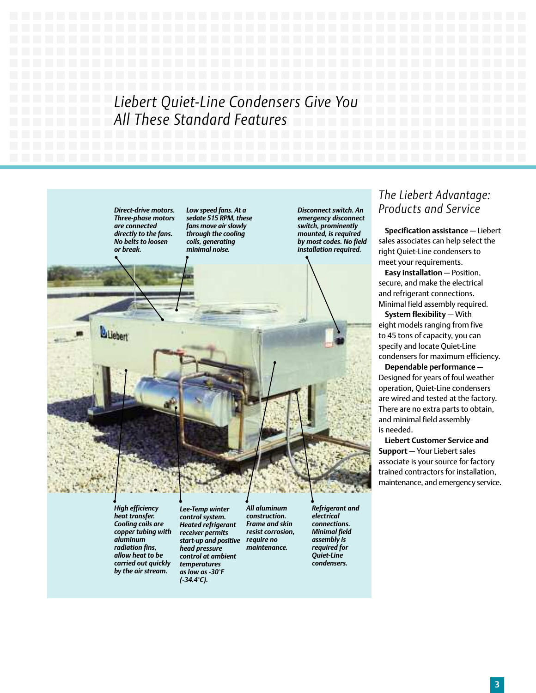# *Liebert Quiet-Line Condensers Give You All These Standard Features*

*Direct-drive motors. Three-phase motors are connected directly to the fans. No belts to loosen or break.*

*Low speed fans. At a sedate 515 RPM, these fans move air slowly through the cooling coils, generating minimal noise.*

*Disconnect switch. An emergency disconnect switch, prominently mounted, is required by most codes. No field installation required.*

## *The Liebert Advantage: Products and Service*

**Specification assistance** — Liebert sales associates can help select the right Quiet-Line condensers to meet your requirements.

**Easy installation** — Position, secure, and make the electrical and refrigerant connections. Minimal field assembly required.

**System flexibility** — With eight models ranging from five to 45 tons of capacity, you can specify and locate Quiet-Line condensers for maximum efficiency.

**Dependable performance** — Designed for years of foul weather operation, Quiet-Line condensers are wired and tested at the factory. There are no extra parts to obtain, and minimal field assembly is needed.

**Liebert Customer Service and Support** — Your Liebert sales associate is your source for factory trained contractors for installation, maintenance, and emergency service.

*High efficiency heat transfer. Cooling coils are copper tubing with aluminum radiation fins, allow heat to be carried out quickly by the air stream.*

*Lee-Temp winter control system. Heated refrigerant receiver permits start-up and positive head pressure control at ambient temperatures as low as -30°F (-34.4°C).*

*All aluminum construction. Frame and skin resist corrosion, require no maintenance.*

*Refrigerant and electrical connections. Minimal field assembly is required for Quiet-Line condensers.*